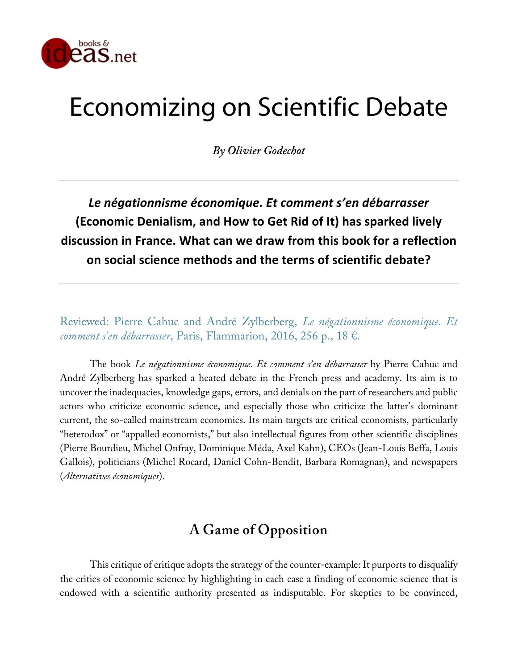

# Economizing on Scientific Debate

*By Olivier Godechot*

*Le négationnisme économique. Et comment s'en débarrasser* **(Economic Denialism, and How to Get Rid of It) has sparked lively discussion in France. What can we draw from this book for a reflection on social science methods and the terms of scientific debate?**

Reviewed: Pierre Cahuc and André Zylberberg, *Le négationnisme économique. Et comment s'en débarrasser*, Paris, Flammarion, 2016, 256 p., 18 €.

The book *Le négationnisme économique. Et comment s'en débarrasser* by Pierre Cahuc and André Zylberberg has sparked a heated debate in the French press and academy. Its aim is to uncover the inadequacies, knowledge gaps, errors, and denials on the part of researchers and public actors who criticize economic science, and especially those who criticize the latter's dominant current, the so-called mainstream economics. Its main targets are critical economists, particularly "heterodox" or "appalled economists," but also intellectual figures from other scientific disciplines (Pierre Bourdieu, Michel Onfray, Dominique Méda, Axel Kahn), CEOs (Jean-Louis Beffa, Louis Gallois), politicians (Michel Rocard, Daniel Cohn-Bendit, Barbara Romagnan), and newspapers (*Alternatives économiques*).

## **A Game of Opposition**

This critique of critique adopts the strategy of the counter-example: It purports to disqualify the critics of economic science by highlighting in each case a finding of economic science that is endowed with a scientific authority presented as indisputable. For skeptics to be convinced,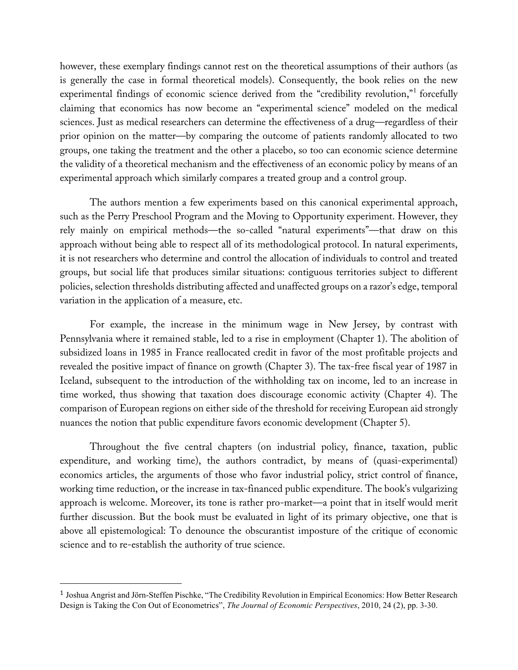however, these exemplary findings cannot rest on the theoretical assumptions of their authors (as is generally the case in formal theoretical models). Consequently, the book relies on the new experimental findings of economic science derived from the "credibility revolution,"<sup>1</sup> forcefully claiming that economics has now become an "experimental science" modeled on the medical sciences. Just as medical researchers can determine the effectiveness of a drug—regardless of their prior opinion on the matter—by comparing the outcome of patients randomly allocated to two groups, one taking the treatment and the other a placebo, so too can economic science determine the validity of a theoretical mechanism and the effectiveness of an economic policy by means of an experimental approach which similarly compares a treated group and a control group.

The authors mention a few experiments based on this canonical experimental approach, such as the Perry Preschool Program and the Moving to Opportunity experiment. However, they rely mainly on empirical methods—the so-called "natural experiments"—that draw on this approach without being able to respect all of its methodological protocol. In natural experiments, it is not researchers who determine and control the allocation of individuals to control and treated groups, but social life that produces similar situations: contiguous territories subject to different policies, selection thresholds distributing affected and unaffected groups on a razor's edge, temporal variation in the application of a measure, etc.

For example, the increase in the minimum wage in New Jersey, by contrast with Pennsylvania where it remained stable, led to a rise in employment (Chapter 1). The abolition of subsidized loans in 1985 in France reallocated credit in favor of the most profitable projects and revealed the positive impact of finance on growth (Chapter 3). The tax-free fiscal year of 1987 in Iceland, subsequent to the introduction of the withholding tax on income, led to an increase in time worked, thus showing that taxation does discourage economic activity (Chapter 4). The comparison of European regions on either side of the threshold for receiving European aid strongly nuances the notion that public expenditure favors economic development (Chapter 5).

Throughout the five central chapters (on industrial policy, finance, taxation, public expenditure, and working time), the authors contradict, by means of (quasi-experimental) economics articles, the arguments of those who favor industrial policy, strict control of finance, working time reduction, or the increase in tax-financed public expenditure. The book's vulgarizing approach is welcome. Moreover, its tone is rather pro-market—a point that in itself would merit further discussion. But the book must be evaluated in light of its primary objective, one that is above all epistemological: To denounce the obscurantist imposture of the critique of economic science and to re-establish the authority of true science.

 

<sup>1</sup> Joshua Angrist and Jörn-Steffen Pischke, "The Credibility Revolution in Empirical Economics: How Better Research Design is Taking the Con Out of Econometrics", *The Journal of Economic Perspectives*, 2010, 24 (2), pp. 3-30.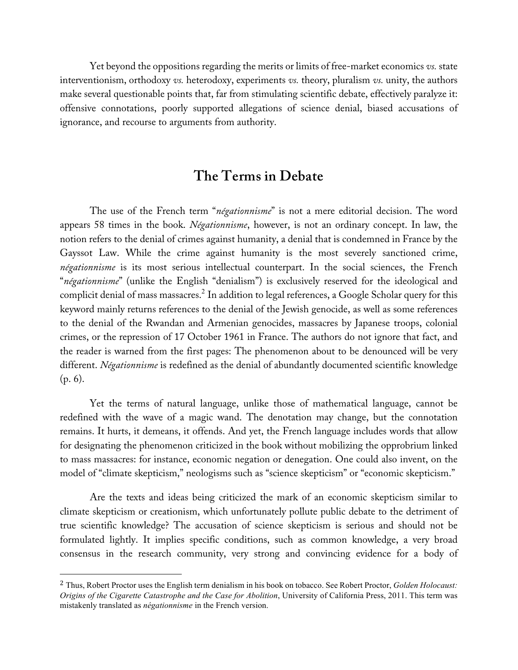Yet beyond the oppositions regarding the merits or limits of free-market economics *vs.* state interventionism, orthodoxy *vs.* heterodoxy, experiments *vs.* theory, pluralism *vs.* unity, the authors make several questionable points that, far from stimulating scientific debate, effectively paralyze it: offensive connotations, poorly supported allegations of science denial, biased accusations of ignorance, and recourse to arguments from authority.

## **The Terms in Debate**

The use of the French term "*négationnisme*" is not a mere editorial decision. The word appears 58 times in the book. *Négationnisme*, however, is not an ordinary concept. In law, the notion refers to the denial of crimes against humanity, a denial that is condemned in France by the Gayssot Law. While the crime against humanity is the most severely sanctioned crime, *négationnisme* is its most serious intellectual counterpart. In the social sciences, the French "*négationnisme*" (unlike the English "denialism") is exclusively reserved for the ideological and complicit denial of mass massacres. $^2$  In addition to legal references, a Google Scholar query for this keyword mainly returns references to the denial of the Jewish genocide, as well as some references to the denial of the Rwandan and Armenian genocides, massacres by Japanese troops, colonial crimes, or the repression of 17 October 1961 in France. The authors do not ignore that fact, and the reader is warned from the first pages: The phenomenon about to be denounced will be very different. *Négationnisme* is redefined as the denial of abundantly documented scientific knowledge (p. 6).

Yet the terms of natural language, unlike those of mathematical language, cannot be redefined with the wave of a magic wand. The denotation may change, but the connotation remains. It hurts, it demeans, it offends. And yet, the French language includes words that allow for designating the phenomenon criticized in the book without mobilizing the opprobrium linked to mass massacres: for instance, economic negation or denegation. One could also invent, on the model of "climate skepticism," neologisms such as "science skepticism" or "economic skepticism."

Are the texts and ideas being criticized the mark of an economic skepticism similar to climate skepticism or creationism, which unfortunately pollute public debate to the detriment of true scientific knowledge? The accusation of science skepticism is serious and should not be formulated lightly. It implies specific conditions, such as common knowledge, a very broad consensus in the research community, very strong and convincing evidence for a body of

 

<sup>2</sup> Thus, Robert Proctor uses the English term denialism in his book on tobacco. See Robert Proctor, *Golden Holocaust: Origins of the Cigarette Catastrophe and the Case for Abolition*, University of California Press, 2011. This term was mistakenly translated as *négationnisme* in the French version.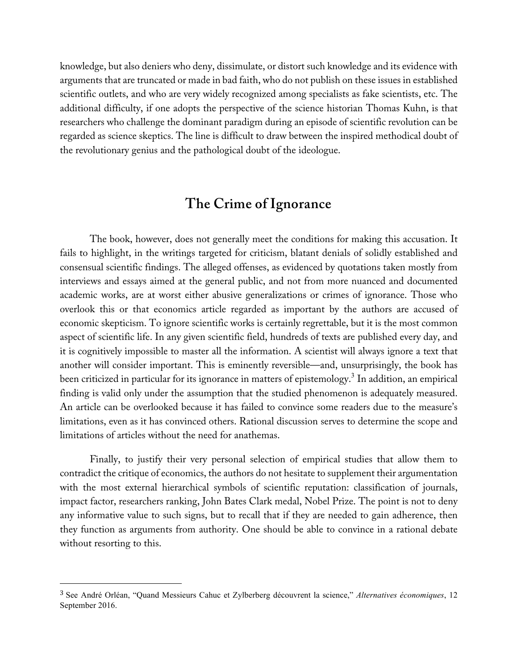knowledge, but also deniers who deny, dissimulate, or distort such knowledge and its evidence with arguments that are truncated or made in bad faith, who do not publish on these issues in established scientific outlets, and who are very widely recognized among specialists as fake scientists, etc. The additional difficulty, if one adopts the perspective of the science historian Thomas Kuhn, is that researchers who challenge the dominant paradigm during an episode of scientific revolution can be regarded as science skeptics. The line is difficult to draw between the inspired methodical doubt of the revolutionary genius and the pathological doubt of the ideologue.

### **The Crime of Ignorance**

The book, however, does not generally meet the conditions for making this accusation. It fails to highlight, in the writings targeted for criticism, blatant denials of solidly established and consensual scientific findings. The alleged offenses, as evidenced by quotations taken mostly from interviews and essays aimed at the general public, and not from more nuanced and documented academic works, are at worst either abusive generalizations or crimes of ignorance. Those who overlook this or that economics article regarded as important by the authors are accused of economic skepticism. To ignore scientific works is certainly regrettable, but it is the most common aspect of scientific life. In any given scientific field, hundreds of texts are published every day, and it is cognitively impossible to master all the information. A scientist will always ignore a text that another will consider important. This is eminently reversible—and, unsurprisingly, the book has been criticized in particular for its ignorance in matters of epistemology. $^3$  In addition, an empirical finding is valid only under the assumption that the studied phenomenon is adequately measured. An article can be overlooked because it has failed to convince some readers due to the measure's limitations, even as it has convinced others. Rational discussion serves to determine the scope and limitations of articles without the need for anathemas.

Finally, to justify their very personal selection of empirical studies that allow them to contradict the critique of economics, the authors do not hesitate to supplement their argumentation with the most external hierarchical symbols of scientific reputation: classification of journals, impact factor, researchers ranking, John Bates Clark medal, Nobel Prize. The point is not to deny any informative value to such signs, but to recall that if they are needed to gain adherence, then they function as arguments from authority. One should be able to convince in a rational debate without resorting to this.

 

<sup>3</sup> See André Orléan, "Quand Messieurs Cahuc et Zylberberg découvrent la science," *Alternatives économiques*, 12 September 2016.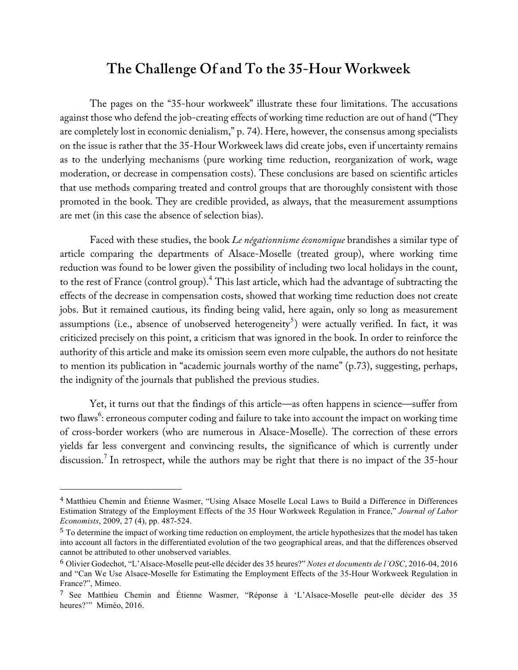#### **The Challenge Of and To the 35-Hour Workweek**

The pages on the "35-hour workweek" illustrate these four limitations. The accusations against those who defend the job-creating effects of working time reduction are out of hand ("They are completely lost in economic denialism," p. 74). Here, however, the consensus among specialists on the issue is rather that the 35-Hour Workweek laws did create jobs, even if uncertainty remains as to the underlying mechanisms (pure working time reduction, reorganization of work, wage moderation, or decrease in compensation costs). These conclusions are based on scientific articles that use methods comparing treated and control groups that are thoroughly consistent with those promoted in the book. They are credible provided, as always, that the measurement assumptions are met (in this case the absence of selection bias).

Faced with these studies, the book *Le négationnisme économique* brandishes a similar type of article comparing the departments of Alsace-Moselle (treated group), where working time reduction was found to be lower given the possibility of including two local holidays in the count, to the rest of France (control group).<sup>4</sup> This last article, which had the advantage of subtracting the effects of the decrease in compensation costs, showed that working time reduction does not create jobs. But it remained cautious, its finding being valid, here again, only so long as measurement assumptions (i.e., absence of unobserved heterogeneity<sup>5</sup>) were actually verified. In fact, it was criticized precisely on this point, a criticism that was ignored in the book. In order to reinforce the authority of this article and make its omission seem even more culpable, the authors do not hesitate to mention its publication in "academic journals worthy of the name" (p.73), suggesting, perhaps, the indignity of the journals that published the previous studies.

Yet, it turns out that the findings of this article—as often happens in science—suffer from two flaws<sup>6</sup>: erroneous computer coding and failure to take into account the impact on working time of cross-border workers (who are numerous in Alsace-Moselle). The correction of these errors yields far less convergent and convincing results, the significance of which is currently under discussion.<sup>7</sup> In retrospect, while the authors may be right that there is no impact of the 35-hour

<sup>4</sup> Matthieu Chemin and Étienne Wasmer, "Using Alsace Moselle Local Laws to Build a Difference in Differences Estimation Strategy of the Employment Effects of the 35 Hour Workweek Regulation in France," *Journal of Labor Economists*, 2009, 27 (4), pp. 487-524.

<sup>5</sup> To determine the impact of working time reduction on employment, the article hypothesizes that the model has taken into account all factors in the differentiated evolution of the two geographical areas, and that the differences observed cannot be attributed to other unobserved variables.

<sup>6</sup> Olivier Godechot, "L'Alsace-Moselle peut-elle décider des 35 heures?" *Notes et documents de l'OSC*, 2016-04, 2016 and "Can We Use Alsace-Moselle for Estimating the Employment Effects of the 35-Hour Workweek Regulation in France?", Mimeo.

<sup>7</sup> See Matthieu Chemin and Étienne Wasmer, "Réponse à 'L'Alsace-Moselle peut-elle décider des 35 heures?"" Miméo, 2016.